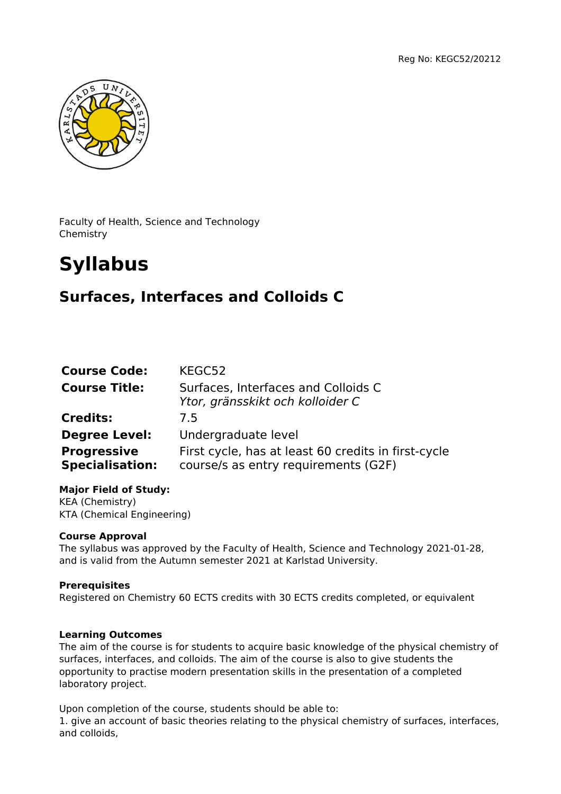

Faculty of Health, Science and Technology Chemistry

# **Syllabus**

# **Surfaces, Interfaces and Colloids C**

| <b>Course Code:</b>                          | KEGC52                                                                                      |
|----------------------------------------------|---------------------------------------------------------------------------------------------|
| <b>Course Title:</b>                         | Surfaces, Interfaces and Colloids C<br>Ytor, gränsskikt och kolloider C                     |
| <b>Credits:</b>                              | 7.5                                                                                         |
| <b>Degree Level:</b>                         | Undergraduate level                                                                         |
| <b>Progressive</b><br><b>Specialisation:</b> | First cycle, has at least 60 credits in first-cycle<br>course/s as entry requirements (G2F) |

**Major Field of Study:** KEA (Chemistry) KTA (Chemical Engineering)

# **Course Approval**

The syllabus was approved by the Faculty of Health, Science and Technology 2021-01-28, and is valid from the Autumn semester 2021 at Karlstad University.

# **Prerequisites**

Registered on Chemistry 60 ECTS credits with 30 ECTS credits completed, or equivalent

# **Learning Outcomes**

The aim of the course is for students to acquire basic knowledge of the physical chemistry of surfaces, interfaces, and colloids. The aim of the course is also to give students the opportunity to practise modern presentation skills in the presentation of a completed laboratory project.

Upon completion of the course, students should be able to: 1. give an account of basic theories relating to the physical chemistry of surfaces, interfaces, and colloids,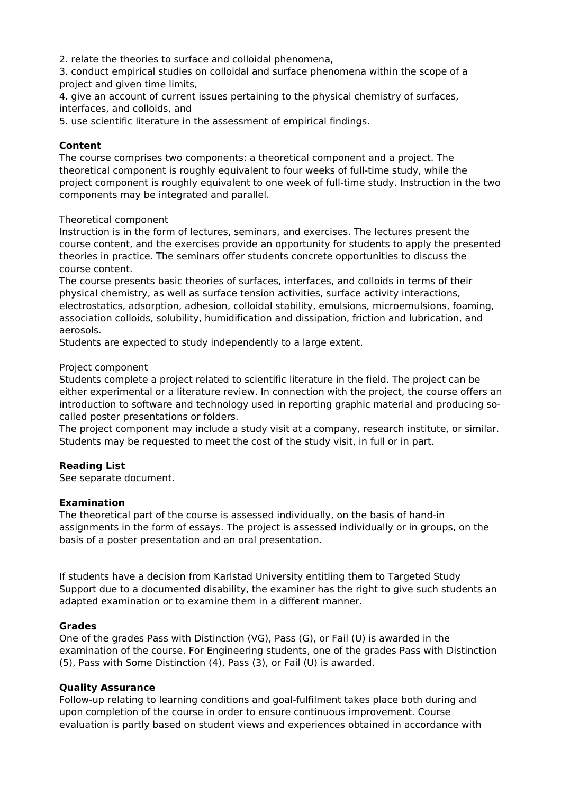2. relate the theories to surface and colloidal phenomena,

3. conduct empirical studies on colloidal and surface phenomena within the scope of a project and given time limits,

4. give an account of current issues pertaining to the physical chemistry of surfaces, interfaces, and colloids, and

5. use scientific literature in the assessment of empirical findings.

## **Content**

The course comprises two components: a theoretical component and a project. The theoretical component is roughly equivalent to four weeks of full-time study, while the project component is roughly equivalent to one week of full-time study. Instruction in the two components may be integrated and parallel.

#### Theoretical component

Instruction is in the form of lectures, seminars, and exercises. The lectures present the course content, and the exercises provide an opportunity for students to apply the presented theories in practice. The seminars offer students concrete opportunities to discuss the course content.

The course presents basic theories of surfaces, interfaces, and colloids in terms of their physical chemistry, as well as surface tension activities, surface activity interactions, electrostatics, adsorption, adhesion, colloidal stability, emulsions, microemulsions, foaming, association colloids, solubility, humidification and dissipation, friction and lubrication, and aerosols.

Students are expected to study independently to a large extent.

#### Project component

Students complete a project related to scientific literature in the field. The project can be either experimental or a literature review. In connection with the project, the course offers an introduction to software and technology used in reporting graphic material and producing socalled poster presentations or folders.

The project component may include a study visit at a company, research institute, or similar. Students may be requested to meet the cost of the study visit, in full or in part.

# **Reading List**

See separate document.

#### **Examination**

The theoretical part of the course is assessed individually, on the basis of hand-in assignments in the form of essays. The project is assessed individually or in groups, on the basis of a poster presentation and an oral presentation.

If students have a decision from Karlstad University entitling them to Targeted Study Support due to a documented disability, the examiner has the right to give such students an adapted examination or to examine them in a different manner.

#### **Grades**

One of the grades Pass with Distinction (VG), Pass (G), or Fail (U) is awarded in the examination of the course. For Engineering students, one of the grades Pass with Distinction (5), Pass with Some Distinction (4), Pass (3), or Fail (U) is awarded.

# **Quality Assurance**

Follow-up relating to learning conditions and goal-fulfilment takes place both during and upon completion of the course in order to ensure continuous improvement. Course evaluation is partly based on student views and experiences obtained in accordance with